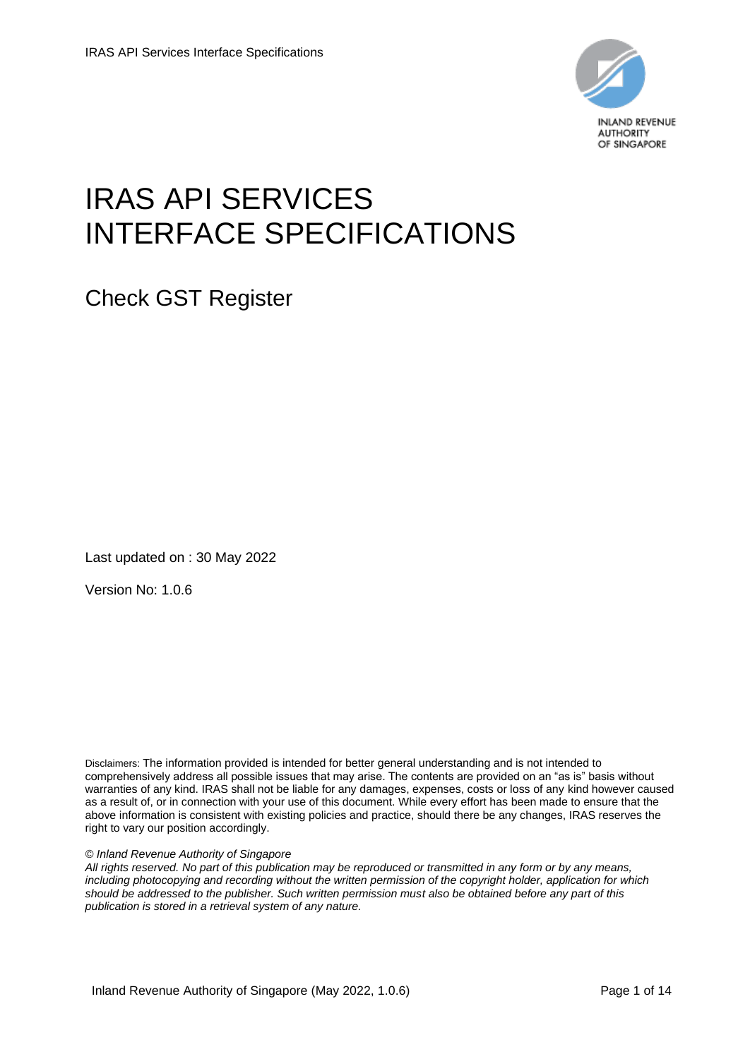

# IRAS API SERVICES INTERFACE SPECIFICATIONS

Check GST Register

Last updated on : 30 May 2022

Version No: 1.0.6

Disclaimers: The information provided is intended for better general understanding and is not intended to comprehensively address all possible issues that may arise. The contents are provided on an "as is" basis without warranties of any kind. IRAS shall not be liable for any damages, expenses, costs or loss of any kind however caused as a result of, or in connection with your use of this document. While every effort has been made to ensure that the above information is consistent with existing policies and practice, should there be any changes, IRAS reserves the right to vary our position accordingly.

#### *© Inland Revenue Authority of Singapore*

*All rights reserved. No part of this publication may be reproduced or transmitted in any form or by any means, including photocopying and recording without the written permission of the copyright holder, application for which should be addressed to the publisher. Such written permission must also be obtained before any part of this publication is stored in a retrieval system of any nature.*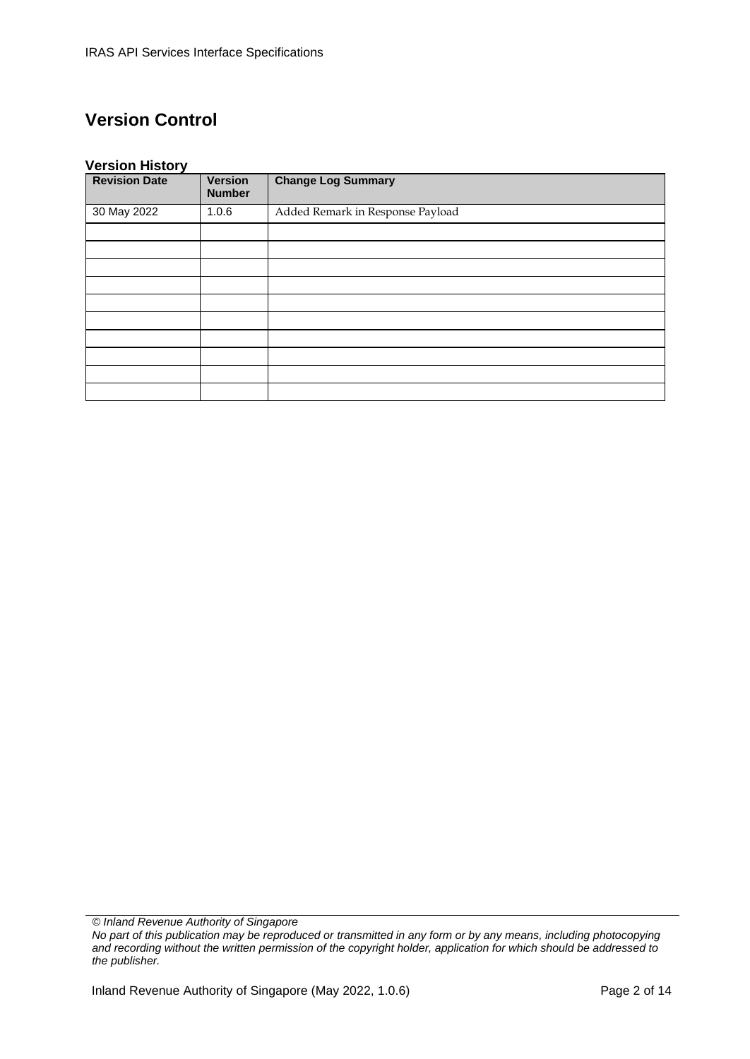# **Version Control**

#### **Version History**

| -<br><b>Revision Date</b> | <b>Version</b><br><b>Number</b> | <b>Change Log Summary</b>        |
|---------------------------|---------------------------------|----------------------------------|
| 30 May 2022               | 1.0.6                           | Added Remark in Response Payload |
|                           |                                 |                                  |
|                           |                                 |                                  |
|                           |                                 |                                  |
|                           |                                 |                                  |
|                           |                                 |                                  |
|                           |                                 |                                  |
|                           |                                 |                                  |
|                           |                                 |                                  |
|                           |                                 |                                  |
|                           |                                 |                                  |

*© Inland Revenue Authority of Singapore*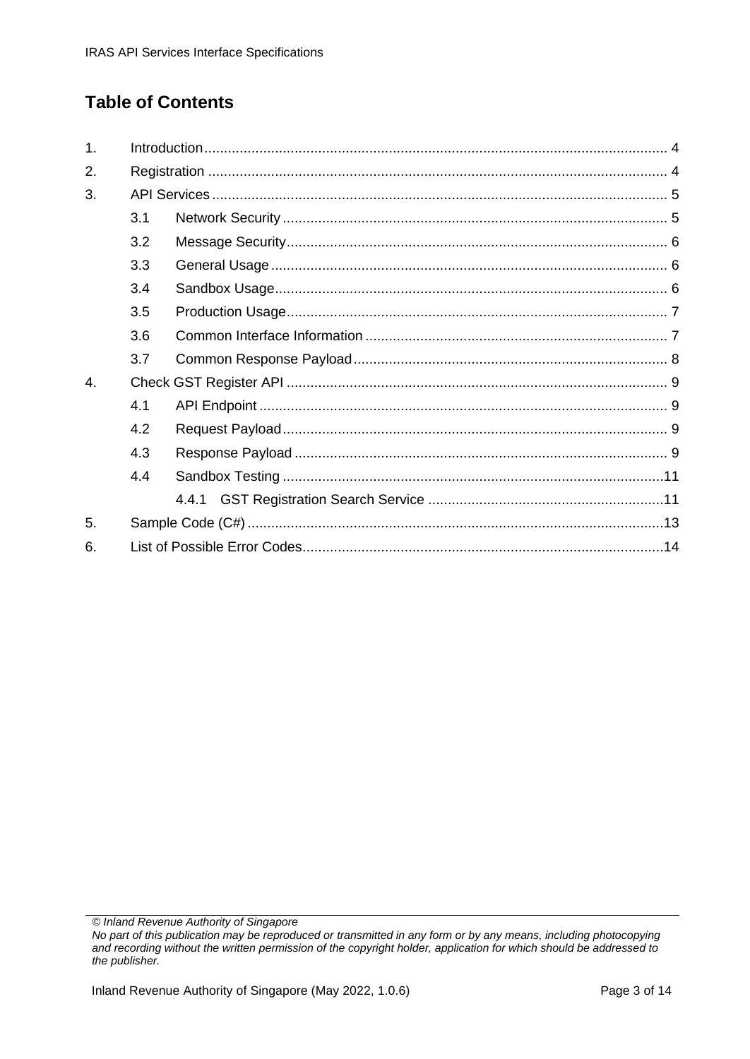# **Table of Contents**

| 1. |     |  |
|----|-----|--|
| 2. |     |  |
| 3. |     |  |
|    | 3.1 |  |
|    | 3.2 |  |
|    | 3.3 |  |
|    | 3.4 |  |
|    | 3.5 |  |
|    | 3.6 |  |
|    | 3.7 |  |
| 4. |     |  |
|    | 4.1 |  |
|    | 4.2 |  |
|    | 4.3 |  |
|    | 4.4 |  |
|    |     |  |
| 5. |     |  |
| 6. |     |  |

© Inland Revenue Authority of Singapore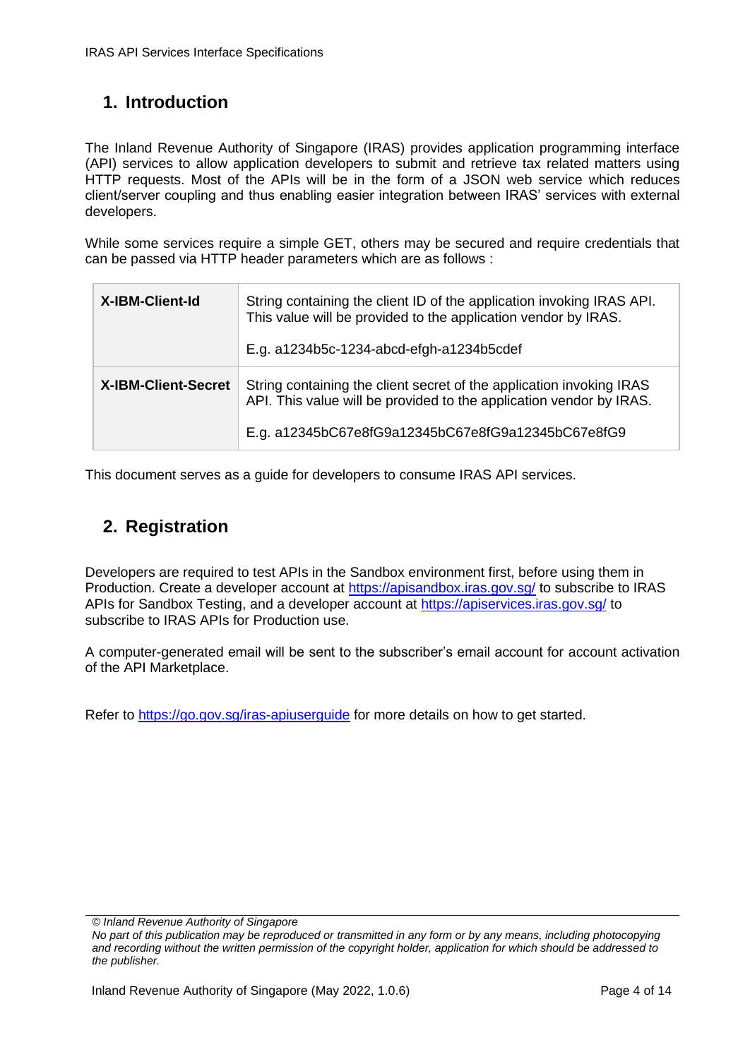# <span id="page-3-0"></span>**1. Introduction**

The Inland Revenue Authority of Singapore (IRAS) provides application programming interface (API) services to allow application developers to submit and retrieve tax related matters using HTTP requests. Most of the APIs will be in the form of a JSON web service which reduces client/server coupling and thus enabling easier integration between IRAS' services with external developers.

While some services require a simple GET, others may be secured and require credentials that can be passed via HTTP header parameters which are as follows :

| <b>X-IBM-Client-Id</b>     | String containing the client ID of the application invoking IRAS API.<br>This value will be provided to the application vendor by IRAS.<br>E.g. a1234b5c-1234-abcd-efgh-a1234b5cdef               |
|----------------------------|---------------------------------------------------------------------------------------------------------------------------------------------------------------------------------------------------|
| <b>X-IBM-Client-Secret</b> | String containing the client secret of the application invoking IRAS<br>API. This value will be provided to the application vendor by IRAS.<br>E.g. a12345bC67e8fG9a12345bC67e8fG9a12345bC67e8fG9 |

This document serves as a guide for developers to consume IRAS API services.

#### <span id="page-3-1"></span>**2. Registration**

Developers are required to test APIs in the Sandbox environment first, before using them in Production. Create a developer account at<https://apisandbox.iras.gov.sg/> to subscribe to IRAS APIs for Sandbox Testing, and a developer account at<https://apiservices.iras.gov.sg/> to subscribe to IRAS APIs for Production use.

A computer-generated email will be sent to the subscriber's email account for account activation of the API Marketplace.

Refer to<https://go.gov.sg/iras-apiuserguide> for more details on how to get started.

*<sup>©</sup> Inland Revenue Authority of Singapore*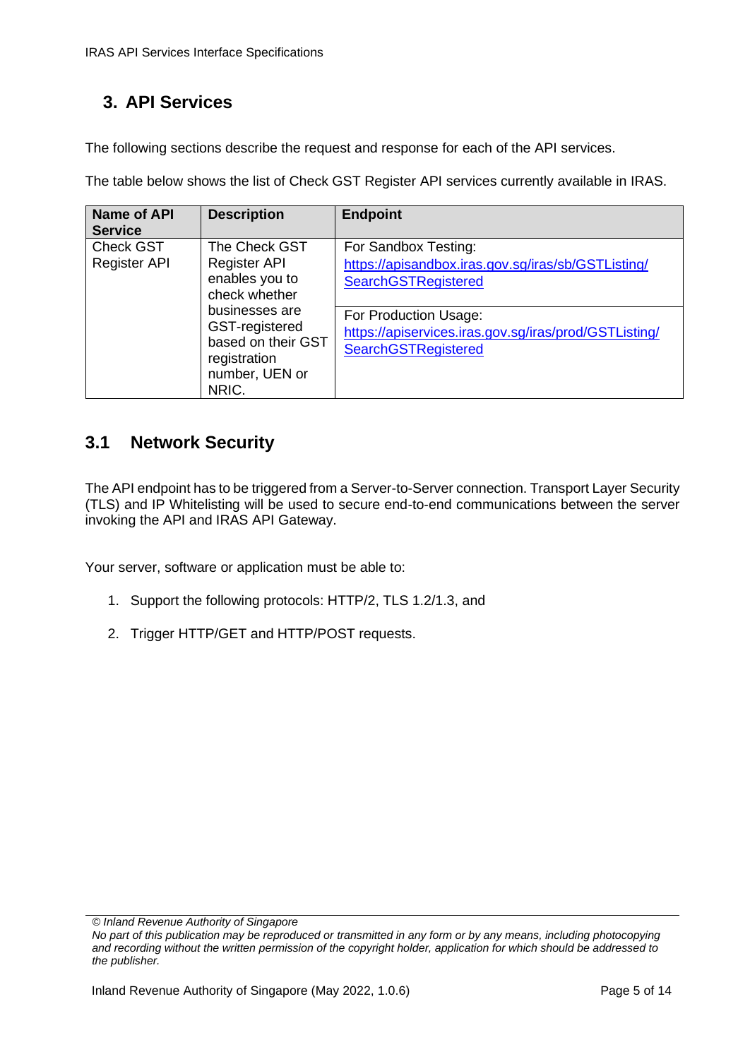# <span id="page-4-0"></span>**3. API Services**

The following sections describe the request and response for each of the API services.

The table below shows the list of Check GST Register API services currently available in IRAS.

| <b>Name of API</b><br><b>Service</b>                                                                               | <b>Description</b>                                                                                       | <b>Endpoint</b>                                                                                              |
|--------------------------------------------------------------------------------------------------------------------|----------------------------------------------------------------------------------------------------------|--------------------------------------------------------------------------------------------------------------|
| <b>Check GST</b><br>The Check GST<br><b>Register API</b><br><b>Register API</b><br>enables you to<br>check whether | For Sandbox Testing:<br>https://apisandbox.iras.gov.sg/iras/sb/GSTListing/<br><b>SearchGSTRegistered</b> |                                                                                                              |
|                                                                                                                    | businesses are<br>GST-registered<br>based on their GST<br>registration<br>number, UEN or<br>NRIC.        | For Production Usage:<br>https://apiservices.iras.gov.sg/iras/prod/GSTListing/<br><b>SearchGSTRegistered</b> |

### <span id="page-4-1"></span>**3.1 Network Security**

The API endpoint has to be triggered from a Server-to-Server connection. Transport Layer Security (TLS) and IP Whitelisting will be used to secure end-to-end communications between the server invoking the API and IRAS API Gateway.

Your server, software or application must be able to:

- 1. Support the following protocols: HTTP/2, TLS 1.2/1.3, and
- 2. Trigger HTTP/GET and HTTP/POST requests.

*<sup>©</sup> Inland Revenue Authority of Singapore* 

*No part of this publication may be reproduced or transmitted in any form or by any means, including photocopying and recording without the written permission of the copyright holder, application for which should be addressed to the publisher.*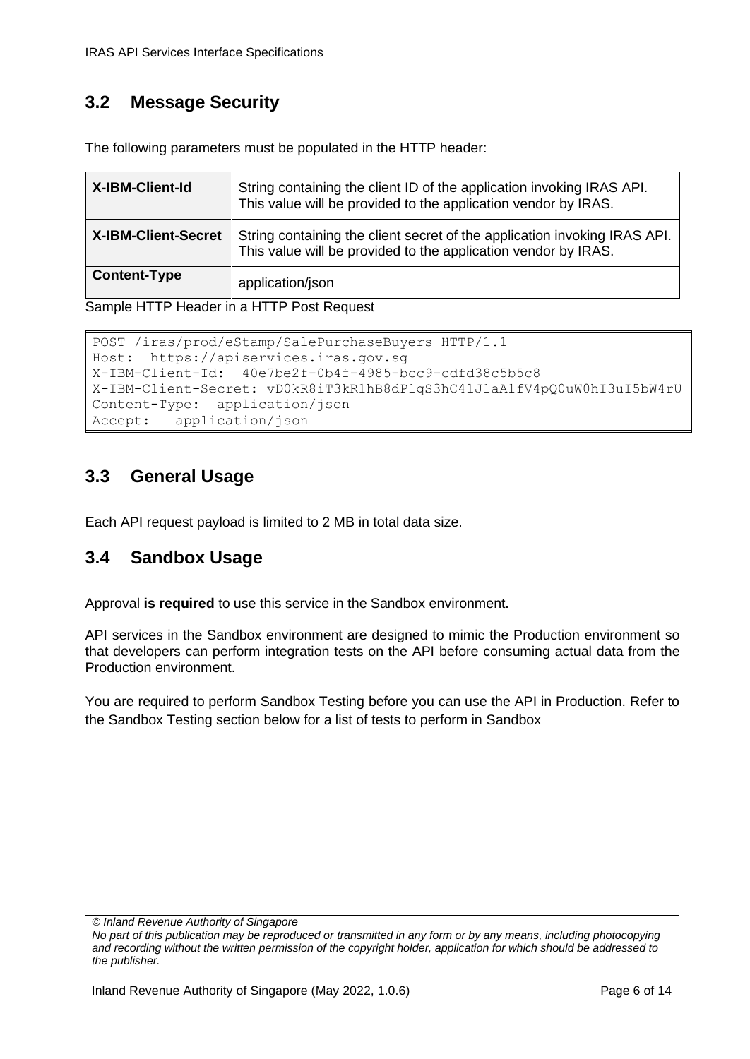# <span id="page-5-0"></span>**3.2 Message Security**

The following parameters must be populated in the HTTP header:

| <b>X-IBM-Client-Id</b>     | String containing the client ID of the application invoking IRAS API.<br>This value will be provided to the application vendor by IRAS.     |
|----------------------------|---------------------------------------------------------------------------------------------------------------------------------------------|
| <b>X-IBM-Client-Secret</b> | String containing the client secret of the application invoking IRAS API.<br>This value will be provided to the application vendor by IRAS. |
| <b>Content-Type</b>        | application/json                                                                                                                            |

Sample HTTP Header in a HTTP Post Request

```
POST /iras/prod/eStamp/SalePurchaseBuyers HTTP/1.1 
Host: https://apiservices.iras.gov.sg 
X-IBM-Client-Id: 40e7be2f-0b4f-4985-bcc9-cdfd38c5b5c8 
X-IBM-Client-Secret: vD0kR8iT3kR1hB8dP1qS3hC4lJ1aA1fV4pQ0uW0hI3uI5bW4rU 
Content-Type: application/json 
Accept: application/json
```
### <span id="page-5-1"></span>**3.3 General Usage**

<span id="page-5-2"></span>Each API request payload is limited to 2 MB in total data size.

### **3.4 Sandbox Usage**

Approval **is required** to use this service in the Sandbox environment.

API services in the Sandbox environment are designed to mimic the Production environment so that developers can perform integration tests on the API before consuming actual data from the Production environment.

You are required to perform Sandbox Testing before you can use the API in Production. Refer to the Sandbox Testing section below for a list of tests to perform in Sandbox

*<sup>©</sup> Inland Revenue Authority of Singapore*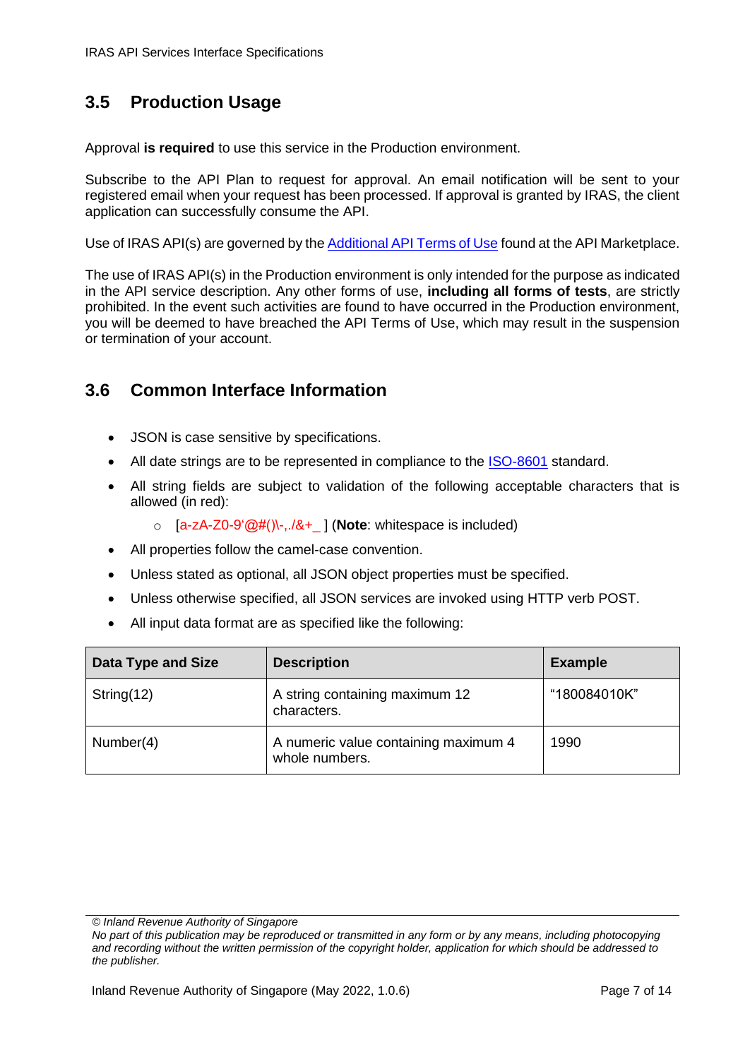# <span id="page-6-0"></span>**3.5 Production Usage**

Approval **is required** to use this service in the Production environment.

Subscribe to the API Plan to request for approval. An email notification will be sent to your registered email when your request has been processed. If approval is granted by IRAS, the client application can successfully consume the API.

Use of IRAS API(s) are governed by th[e Additional API Terms of Use](https://apiservices.iras.gov.sg/iras/devportal/pages/terms-use) found at the API Marketplace.

The use of IRAS API(s) in the Production environment is only intended for the purpose as indicated in the API service description. Any other forms of use, **including all forms of tests**, are strictly prohibited. In the event such activities are found to have occurred in the Production environment, you will be deemed to have breached the API Terms of Use, which may result in the suspension or termination of your account.

#### <span id="page-6-1"></span>**3.6 Common Interface Information**

- JSON is case sensitive by specifications.
- All date strings are to be represented in compliance to the [ISO-8601](https://www.w3.org/TR/NOTE-datetime) standard.
- All string fields are subject to validation of the following acceptable characters that is allowed (in red):
	- o [a-zA-Z0-9'@#()\-,./&+\_ ] (**Note**: whitespace is included)
- All properties follow the camel-case convention.
- Unless stated as optional, all JSON object properties must be specified.
- Unless otherwise specified, all JSON services are invoked using HTTP verb POST.
- All input data format are as specified like the following:

| <b>Data Type and Size</b> | <b>Description</b>                                     | <b>Example</b> |
|---------------------------|--------------------------------------------------------|----------------|
| String $(12)$             | A string containing maximum 12<br>characters.          | "180084010K"   |
| Number(4)                 | A numeric value containing maximum 4<br>whole numbers. | 1990           |

*<sup>©</sup> Inland Revenue Authority of Singapore* 

*No part of this publication may be reproduced or transmitted in any form or by any means, including photocopying and recording without the written permission of the copyright holder, application for which should be addressed to the publisher.*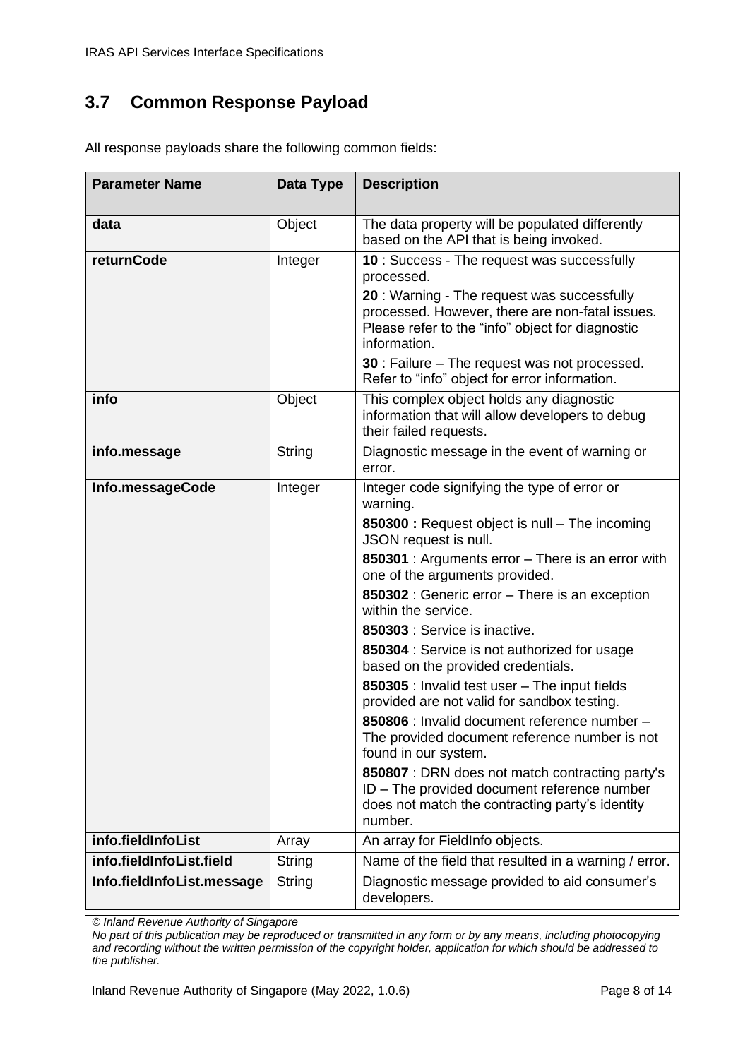# <span id="page-7-0"></span>**3.7 Common Response Payload**

| <b>Parameter Name</b>      | Data Type     | <b>Description</b>                                                                                                                                                |
|----------------------------|---------------|-------------------------------------------------------------------------------------------------------------------------------------------------------------------|
| data                       | Object        | The data property will be populated differently<br>based on the API that is being invoked.                                                                        |
| returnCode                 | Integer       | 10 : Success - The request was successfully<br>processed.                                                                                                         |
|                            |               | 20: Warning - The request was successfully<br>processed. However, there are non-fatal issues.<br>Please refer to the "info" object for diagnostic<br>information. |
|                            |               | 30 : Failure - The request was not processed.<br>Refer to "info" object for error information.                                                                    |
| info                       | Object        | This complex object holds any diagnostic<br>information that will allow developers to debug<br>their failed requests.                                             |
| info.message               | String        | Diagnostic message in the event of warning or<br>error.                                                                                                           |
| Info.messageCode           | Integer       | Integer code signifying the type of error or<br>warning.                                                                                                          |
|                            |               | 850300 : Request object is null - The incoming<br>JSON request is null.                                                                                           |
|                            |               | 850301 : Arguments error - There is an error with<br>one of the arguments provided.                                                                               |
|                            |               | 850302 : Generic error - There is an exception<br>within the service.                                                                                             |
|                            |               | 850303 : Service is inactive.                                                                                                                                     |
|                            |               | 850304 : Service is not authorized for usage<br>based on the provided credentials.                                                                                |
|                            |               | 850305 : Invalid test user - The input fields<br>provided are not valid for sandbox testing.                                                                      |
|                            |               | 850806 : Invalid document reference number -<br>The provided document reference number is not<br>found in our system.                                             |
|                            |               | 850807 : DRN does not match contracting party's<br>ID - The provided document reference number<br>does not match the contracting party's identity<br>number.      |
| info.fieldInfoList         | Array         | An array for FieldInfo objects.                                                                                                                                   |
| info.fieldInfoList.field   | <b>String</b> | Name of the field that resulted in a warning / error.                                                                                                             |
| Info.fieldInfoList.message | <b>String</b> | Diagnostic message provided to aid consumer's<br>developers.                                                                                                      |

All response payloads share the following common fields:

*© Inland Revenue Authority of Singapore*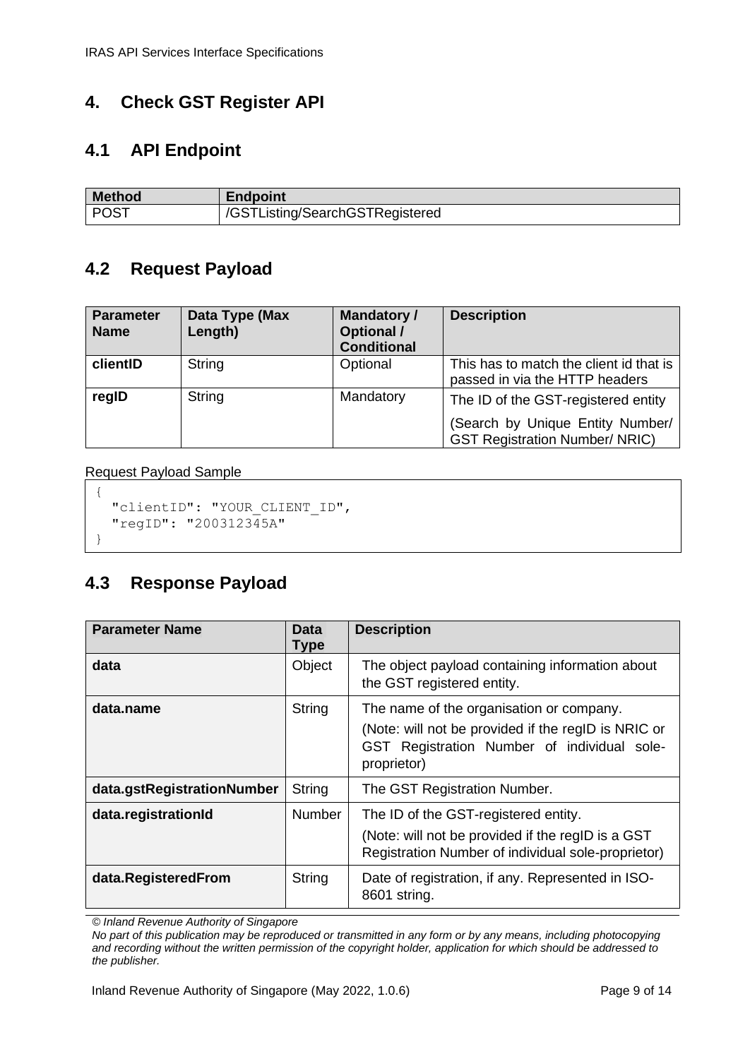# <span id="page-8-0"></span>**4. Check GST Register API**

## <span id="page-8-1"></span>**4.1 API Endpoint**

| <b>Method</b> | <b>Endpoint</b>                 |
|---------------|---------------------------------|
| <b>POST</b>   | /GSTListing/SearchGSTRegistered |

# <span id="page-8-2"></span>**4.2 Request Payload**

| <b>Parameter</b><br><b>Name</b> | Data Type (Max<br>Length) | <b>Mandatory /</b><br><b>Optional /</b><br><b>Conditional</b> | <b>Description</b>                                                                                               |
|---------------------------------|---------------------------|---------------------------------------------------------------|------------------------------------------------------------------------------------------------------------------|
| clientID                        | String                    | Optional                                                      | This has to match the client id that is<br>passed in via the HTTP headers                                        |
| regID                           | String                    | Mandatory                                                     | The ID of the GST-registered entity<br>(Search by Unique Entity Number/<br><b>GST Registration Number/ NRIC)</b> |

#### Request Payload Sample

```
{
   "clientID": "YOUR_CLIENT_ID",
   "regID": "200312345A"
}
```
### <span id="page-8-3"></span>**4.3 Response Payload**

| <b>Parameter Name</b>      | Data<br><b>Type</b> | <b>Description</b>                                                                                                                                            |
|----------------------------|---------------------|---------------------------------------------------------------------------------------------------------------------------------------------------------------|
| data                       | Object              | The object payload containing information about<br>the GST registered entity.                                                                                 |
| data.name                  | String              | The name of the organisation or company.<br>(Note: will not be provided if the regID is NRIC or<br>GST Registration Number of individual sole-<br>proprietor) |
| data.gstRegistrationNumber | String              | The GST Registration Number.                                                                                                                                  |
| data.registrationId        | <b>Number</b>       | The ID of the GST-registered entity.<br>(Note: will not be provided if the regID is a GST<br>Registration Number of individual sole-proprietor)               |
| data.RegisteredFrom        | String              | Date of registration, if any. Represented in ISO-<br>8601 string.                                                                                             |

*© Inland Revenue Authority of Singapore*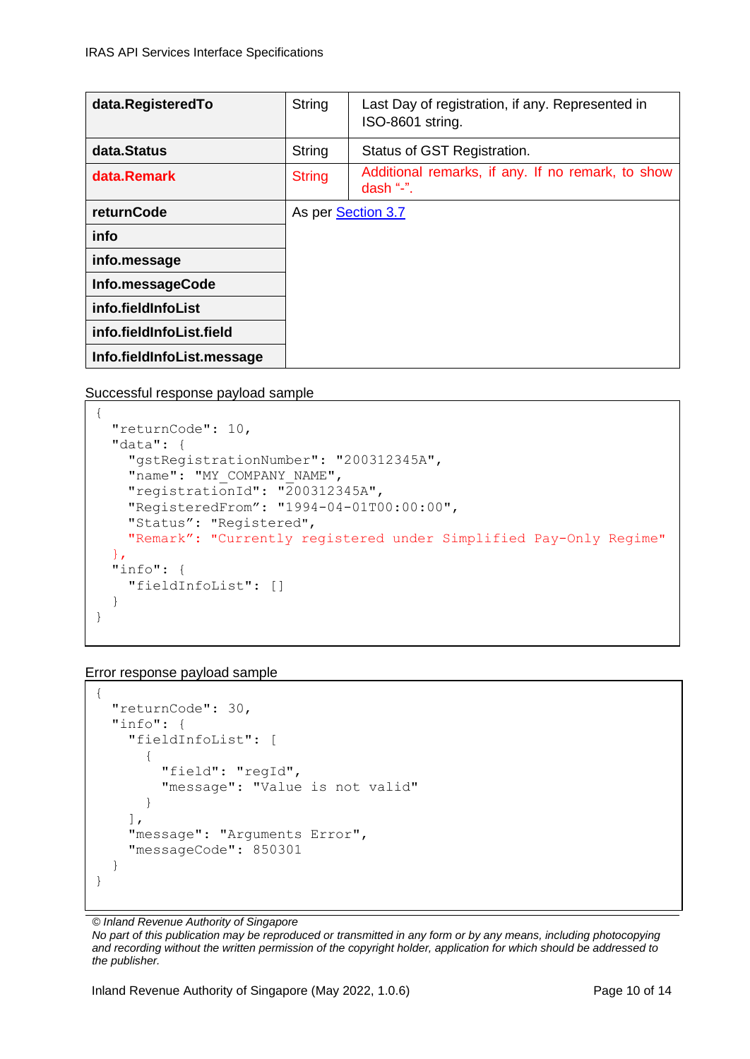| data.RegisteredTo          | <b>String</b> | Last Day of registration, if any. Represented in<br>ISO-8601 string. |
|----------------------------|---------------|----------------------------------------------------------------------|
| data.Status                | String        | Status of GST Registration.                                          |
| data.Remark                | <b>String</b> | Additional remarks, if any. If no remark, to show<br>dash " $-$ ".   |
| returnCode                 |               | As per Section 3.7                                                   |
| info                       |               |                                                                      |
| info.message               |               |                                                                      |
| Info.messageCode           |               |                                                                      |
| info.fieldInfoList         |               |                                                                      |
| info.fieldInfoList.field   |               |                                                                      |
| Info.fieldInfoList.message |               |                                                                      |

Successful response payload sample

```
{
  "returnCode": 10,
   "data": {
     "gstRegistrationNumber": "200312345A",
   "name": "MY_COMPANY_NAME",
    "registrationId": "200312345A",
    "RegisteredFrom": "1994-04-01T00:00:00",
    "Status": "Registered",
    "Remark": "Currently registered under Simplified Pay-Only Regime"
  },
  "info": {
     "fieldInfoList": []
   }
}
```
Error response payload sample

```
{
   "returnCode": 30,
   "info": {
     "fieldInfoList": [
       {
          "field": "regId",
          "message": "Value is not valid"
       }
     ],
     "message": "Arguments Error",
     "messageCode": 850301
   }
}
```
*© Inland Revenue Authority of Singapore*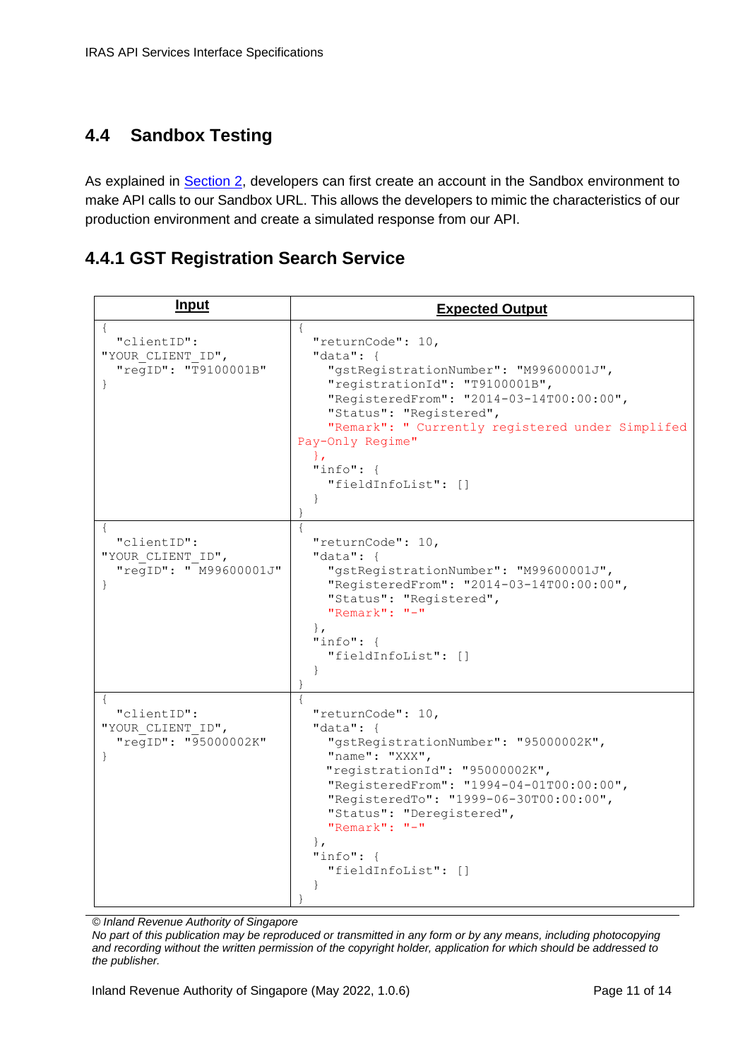## <span id="page-10-0"></span>**4.4 Sandbox Testing**

As explained in **Section 2**, developers can first create an account in the Sandbox environment to make API calls to our Sandbox URL. This allows the developers to mimic the characteristics of our production environment and create a simulated response from our API.

#### <span id="page-10-1"></span>**4.4.1 GST Registration Search Service**

| <u>Input</u>                                                               | <b>Expected Output</b>                                                                                                                                                                                                                                                                                                                          |
|----------------------------------------------------------------------------|-------------------------------------------------------------------------------------------------------------------------------------------------------------------------------------------------------------------------------------------------------------------------------------------------------------------------------------------------|
| "clientID":<br>"YOUR CLIENT ID",<br>"reqID": "T9100001B"<br>$\}$           | $\{$<br>"returnCode": $10,$<br>"data": $\{$<br>"gstRegistrationNumber": "M99600001J",<br>"registrationId": "T9100001B",<br>"RegisteredFrom": "2014-03-14T00:00:00",<br>"Status": "Registered",<br>"Remark": " Currently registered under Simplifed<br>Pay-Only Regime"<br>$\mathcal{L}$<br>"info": $\{$<br>"fieldInfoList": []<br>$\mathcal{F}$ |
| $\{$<br>"clientID":<br>"YOUR CLIENT ID",<br>"regID": " M99600001J"<br>$\}$ | "returnCode": 10,<br>"data": $\{$<br>"gstRegistrationNumber": "M99600001J",<br>"RegisteredFrom": "2014-03-14T00:00:00",<br>"Status": "Registered",<br>"Remark": $"$ -"<br>$\mathbf{r}$<br>"info": $\{$<br>"fieldInfoList": []<br>$\mathcal{F}$                                                                                                  |
| "clientID":<br>"YOUR CLIENT ID",<br>"regID": "95000002K"<br>$\}$           | "returnCode": 10,<br>"data": $\{$<br>"gstRegistrationNumber": "95000002K",<br>"name": "XXX",<br>"registrationId": "95000002K",<br>"RegisteredFrom": "1994-04-01T00:00:00",<br>"RegisteredTo": "1999-06-30T00:00:00",<br>"Status": "Deregistered",<br>" $Remark" : "=""$<br>$\}$ ,<br>$"info":$ {<br>"fieldInfoList": []<br>$\mathcal{F}$        |

*© Inland Revenue Authority of Singapore*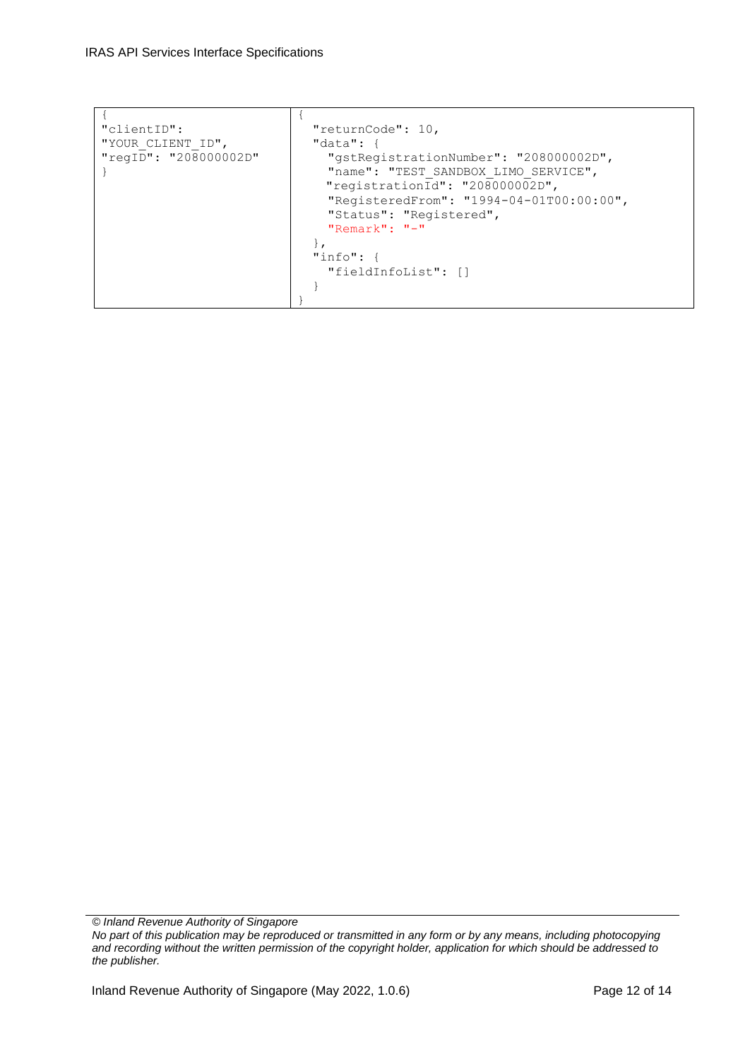| "clientID":           | "returnCode": 10,                                                              |  |
|-----------------------|--------------------------------------------------------------------------------|--|
| "YOUR CLIENT ID",     | $"data":$ {                                                                    |  |
| "regID": "208000002D" | "qstReqistrationNumber": "208000002D",<br>"name": "TEST SANDBOX LIMO SERVICE", |  |
|                       |                                                                                |  |
|                       | "registrationId": "208000002D",                                                |  |
|                       | "RegisteredFrom": "1994-04-01T00:00:00",                                       |  |
|                       | "Status": "Registered",                                                        |  |
|                       | "Remark": " $-$ "                                                              |  |
|                       |                                                                                |  |
|                       | "info": f                                                                      |  |
|                       | "fieldInfoList": []                                                            |  |
|                       |                                                                                |  |
|                       |                                                                                |  |
|                       |                                                                                |  |

*© Inland Revenue Authority of Singapore*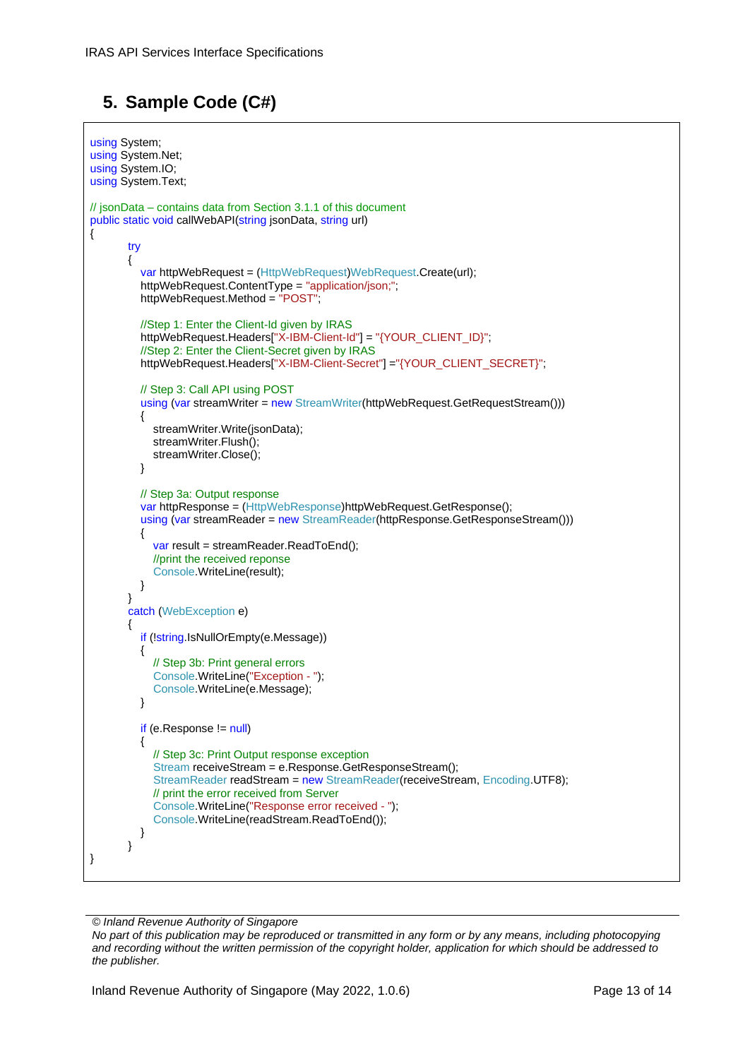# <span id="page-12-0"></span>**5. Sample Code (C#)**

```
using System;
using System.Net;
using System.IO;
using System.Text;
// jsonData – contains data from Section 3.1.1 of this document
public static void callWebAPI(string jsonData, string url)
{
        try
\{var httpWebRequest = (HttpWebRequest)WebRequest.Create(url);
          httpWebRequest.ContentType = "application/json;";
         httpWebRequest.Method = "POST";
          //Step 1: Enter the Client-Id given by IRAS
         httpWebRequest.Headers["X-IBM-Client-Id"] = "{YOUR_CLIENT_ID}";
          //Step 2: Enter the Client-Secret given by IRAS
          httpWebRequest.Headers["X-IBM-Client-Secret"] ="{YOUR_CLIENT_SECRET}";
          // Step 3: Call API using POST
         using (var streamWriter = new StreamWriter(httpWebRequest.GetRequestStream()))
\{ streamWriter.Write(jsonData);
            streamWriter.Flush();
            streamWriter.Close();
 }
          // Step 3a: Output response
          var httpResponse = (HttpWebResponse)httpWebRequest.GetResponse();
         using (var streamReader = new StreamReader(httpResponse.GetResponseStream()))
\{ var result = streamReader.ReadToEnd();
            //print the received reponse
            Console.WriteLine(result);
 }
 }
        catch (WebException e)
\{ if (!string.IsNullOrEmpty(e.Message))
\{ // Step 3b: Print general errors 
            Console.WriteLine("Exception - ");
            Console.WriteLine(e.Message);
 }
         if (e. Response != null)\{ // Step 3c: Print Output response exception
            Stream receiveStream = e.Response.GetResponseStream();
            StreamReader readStream = new StreamReader(receiveStream, Encoding.UTF8);
            // print the error received from Server 
            Console.WriteLine("Response error received - ");
            Console.WriteLine(readStream.ReadToEnd());
          }
        }
}
```
*© Inland Revenue Authority of Singapore*